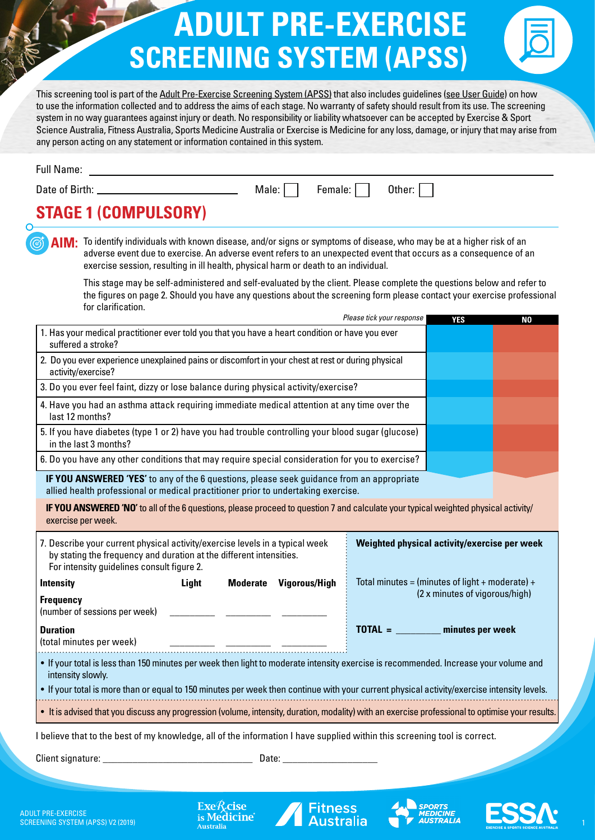# **ADULT PRE-EXERCISE SCREENING SYSTEM (APSS)**

This screening tool is part of the [Adult Pre-Exercise Screening System \(APSS\)](http://www.fitness.org.au/apss) that also includes guidelines ([see User Guide\)](http://www.fitness.org.au/apss) on how to use the information collected and to address the aims of each stage. No warranty of safety should result from its use. The screening system in no way guarantees against injury or death. No responsibility or liability whatsoever can be accepted by Exercise & Sport Science Australia, Fitness Australia, Sports Medicine Australia or Exercise is Medicine for any loss, damage, or injury that may arise from any person acting on any statement or information contained in this system.

| <b>Full Name:</b> |
|-------------------|
|                   |

∩

Date of Birth:  $\qquad \qquad \qquad \qquad \qquad$  Male:  $\qquad \qquad$  Female:  $\qquad \qquad$  Other:

### **STAGE 1 (COMPULSORY)**

AIM: To identify individuals with known disease, and/or signs or symptoms of disease, who may be at a higher risk of an adverse event due to exercise. An adverse event refers to an unexpected event that occurs as a consequence of an exercise session, resulting in ill health, physical harm or death to an individual.

This stage may be self-administered and self-evaluated by the client. Please complete the questions below and refer to the figures on page 2. Should you have any questions about the screening form please contact your exercise professional for clarification.

|                                                                                                                                                                                                   |                                                                                                    |  |                      | Please tick your response                       | <b>YES</b>                     | N <sub>0</sub> |
|---------------------------------------------------------------------------------------------------------------------------------------------------------------------------------------------------|----------------------------------------------------------------------------------------------------|--|----------------------|-------------------------------------------------|--------------------------------|----------------|
| 1. Has your medical practitioner ever told you that you have a heart condition or have you ever<br>suffered a stroke?                                                                             |                                                                                                    |  |                      |                                                 |                                |                |
| activity/exercise?                                                                                                                                                                                | 2. Do you ever experience unexplained pains or discomfort in your chest at rest or during physical |  |                      |                                                 |                                |                |
| 3. Do you ever feel faint, dizzy or lose balance during physical activity/exercise?                                                                                                               |                                                                                                    |  |                      |                                                 |                                |                |
| last 12 months?                                                                                                                                                                                   | 4. Have you had an asthma attack requiring immediate medical attention at any time over the        |  |                      |                                                 |                                |                |
| 5. If you have diabetes (type 1 or 2) have you had trouble controlling your blood sugar (glucose)<br>in the last 3 months?                                                                        |                                                                                                    |  |                      |                                                 |                                |                |
| 6. Do you have any other conditions that may require special consideration for you to exercise?                                                                                                   |                                                                                                    |  |                      |                                                 |                                |                |
| IF YOU ANSWERED 'YES' to any of the 6 questions, please seek guidance from an appropriate<br>allied health professional or medical practitioner prior to undertaking exercise.                    |                                                                                                    |  |                      |                                                 |                                |                |
| IF YOU ANSWERED 'NO' to all of the 6 questions, please proceed to question 7 and calculate your typical weighted physical activity/<br>exercise per week.                                         |                                                                                                    |  |                      |                                                 |                                |                |
| 7. Describe your current physical activity/exercise levels in a typical week<br>by stating the frequency and duration at the different intensities.<br>For intensity guidelines consult figure 2. |                                                                                                    |  |                      | Weighted physical activity/exercise per week    |                                |                |
| <b>Intensity</b>                                                                                                                                                                                  | Light<br><b>Moderate</b>                                                                           |  | <b>Vigorous/High</b> | Total minutes = (minutes of light + moderate) + |                                |                |
| <b>Frequency</b><br>(number of sessions per week)                                                                                                                                                 |                                                                                                    |  |                      |                                                 | (2 x minutes of vigorous/high) |                |
| <b>Duration</b><br>(total minutes per week)                                                                                                                                                       |                                                                                                    |  |                      | $\text{TOTAL} = \_\_\_\_\_\_\$ minutes per week |                                |                |
| . If your total is less than 150 minutes per week then light to moderate intensity exercise is recommended. Increase your volume and<br>intensity slowly.                                         |                                                                                                    |  |                      |                                                 |                                |                |
| . If your total is more than or equal to 150 minutes per week then continue with your current physical activity/exercise intensity levels.                                                        |                                                                                                    |  |                      |                                                 |                                |                |
| . It is advised that you discuss any progression (volume, intensity, duration, modality) with an exercise professional to optimise your results.                                                  |                                                                                                    |  |                      |                                                 |                                |                |
| I believe that to the best of my knowledge, all of the information I have supplied within this screening tool is correct.                                                                         |                                                                                                    |  |                      |                                                 |                                |                |
| Client signature: ____                                                                                                                                                                            |                                                                                                    |  |                      |                                                 |                                |                |
|                                                                                                                                                                                                   |                                                                                                    |  |                      |                                                 |                                |                |
|                                                                                                                                                                                                   |                                                                                                    |  |                      |                                                 |                                |                |
|                                                                                                                                                                                                   |                                                                                                    |  |                      |                                                 |                                |                |







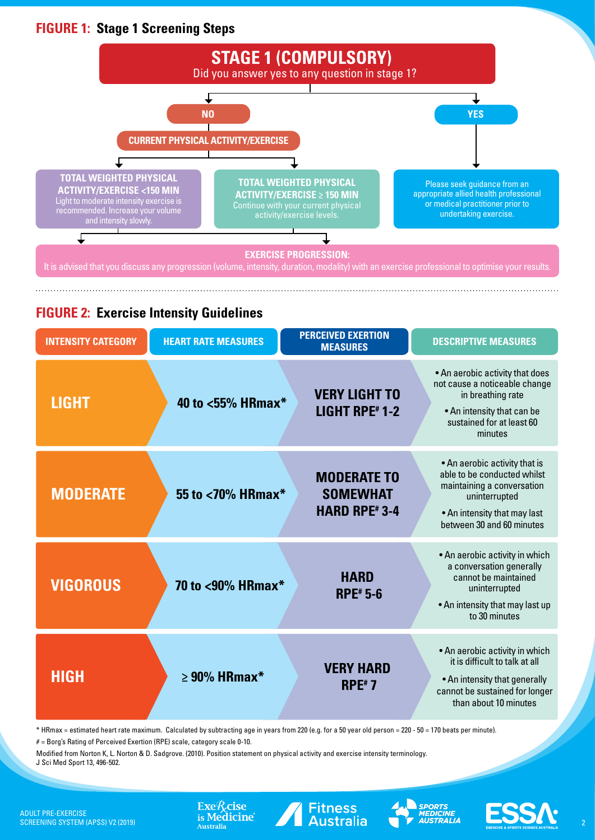#### **FIGURE 1: Stage 1 Screening Steps**



#### **FIGURE 2: Exercise Intensity Guidelines**

| <b>INTENSITY CATEGORY</b> | <b>HEART RATE MEASURES</b> | <b>PERCEIVED EXERTION</b><br><b>MEASURES</b>                 | <b>DESCRIPTIVE MEASURES</b>                                                                                                                                              |
|---------------------------|----------------------------|--------------------------------------------------------------|--------------------------------------------------------------------------------------------------------------------------------------------------------------------------|
| <b>LIGHT</b>              | 40 to <55% HRmax*          | <b>VERY LIGHT TO</b><br><b>LIGHT RPE#1-2</b>                 | . An aerobic activity that does<br>not cause a noticeable change<br>in breathing rate<br>• An intensity that can be<br>sustained for at least 60<br>minutes              |
| <b>MODERATE</b>           | 55 to <70% HRmax*          | <b>MODERATE TO</b><br><b>SOMEWHAT</b><br><b>HARD RPE#3-4</b> | • An aerobic activity that is<br>able to be conducted whilst<br>maintaining a conversation<br>uninterrupted<br>• An intensity that may last<br>between 30 and 60 minutes |
| <b>VIGOROUS</b>           | 70 to <90% HRmax*          | <b>HARD</b><br><b>RPE</b> # 5-6                              | • An aerobic activity in which<br>a conversation generally<br>cannot be maintained<br>uninterrupted<br>• An intensity that may last up<br>to 30 minutes                  |
| <b>HIGH</b>               | $\geq$ 90% HRmax*          | <b>VERY HARD</b><br>$RPE*7$                                  | • An aerobic activity in which<br>it is difficult to talk at all<br>• An intensity that generally<br>cannot be sustained for longer<br>than about 10 minutes             |

\* HRmax = estimated heart rate maximum. Calculated by subtracting age in years from 220 (e.g. for a 50 year old person = 220 - 50 = 170 beats per minute).

 $#$  = Borg's Rating of Perceived Exertion (RPE) scale, category scale 0-10.

Modified from Norton K, L. Norton & D. Sadgrove. (2010). Position statement on physical activity and exercise intensity terminology. J Sci Med Sport 13, 496-502.





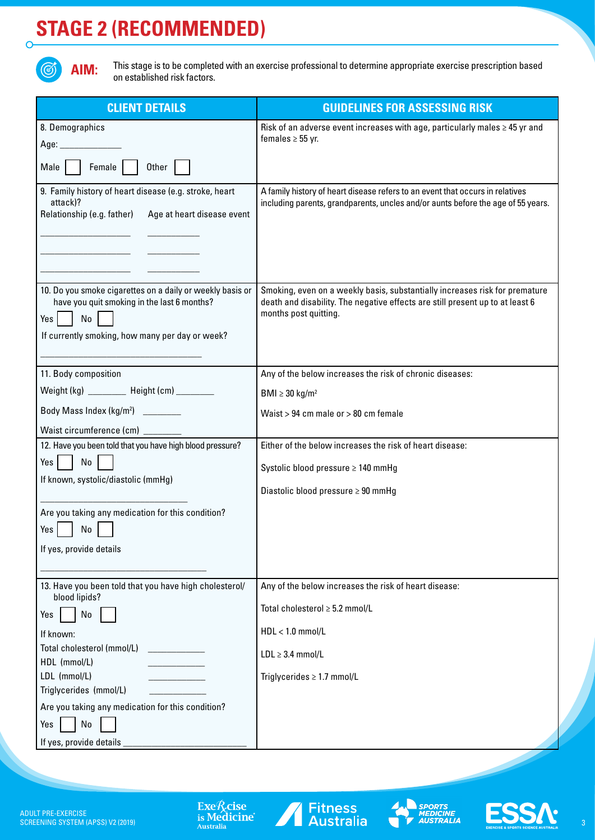## **STAGE 2 (RECOMMENDED)**



 $\overline{O}$ 

This stage is to be completed with an exercise professional to determine appropriate exercise prescription based on established risk factors.

| <b>CLIENT DETAILS</b>                                                                                                          | <b>GUIDELINES FOR ASSESSING RISK</b>                                                                                                                                                  |
|--------------------------------------------------------------------------------------------------------------------------------|---------------------------------------------------------------------------------------------------------------------------------------------------------------------------------------|
| 8. Demographics                                                                                                                | Risk of an adverse event increases with age, particularly males $\geq 45$ yr and<br>females $\geq$ 55 yr.                                                                             |
| Age: ___________                                                                                                               |                                                                                                                                                                                       |
| Female<br>Other  <br>Male                                                                                                      |                                                                                                                                                                                       |
| 9. Family history of heart disease (e.g. stroke, heart<br>attack)?                                                             | A family history of heart disease refers to an event that occurs in relatives<br>including parents, grandparents, uncles and/or aunts before the age of 55 years.                     |
| Relationship (e.g. father)<br>Age at heart disease event                                                                       |                                                                                                                                                                                       |
|                                                                                                                                |                                                                                                                                                                                       |
|                                                                                                                                |                                                                                                                                                                                       |
|                                                                                                                                |                                                                                                                                                                                       |
| 10. Do you smoke cigarettes on a daily or weekly basis or<br>have you quit smoking in the last 6 months?<br>$Yes \mid \mid No$ | Smoking, even on a weekly basis, substantially increases risk for premature<br>death and disability. The negative effects are still present up to at least 6<br>months post quitting. |
| If currently smoking, how many per day or week?                                                                                |                                                                                                                                                                                       |
|                                                                                                                                |                                                                                                                                                                                       |
| 11. Body composition                                                                                                           | Any of the below increases the risk of chronic diseases:                                                                                                                              |
| Weight (kg) ________ Height (cm) _______                                                                                       | BMI $\geq$ 30 kg/m <sup>2</sup>                                                                                                                                                       |
| Body Mass Index (kg/m <sup>2</sup> ) _________                                                                                 | Waist > 94 cm male or > 80 cm female                                                                                                                                                  |
| Waist circumference (cm) ________                                                                                              |                                                                                                                                                                                       |
| 12. Have you been told that you have high blood pressure?                                                                      | Either of the below increases the risk of heart disease:                                                                                                                              |
| Yes <sub>l</sub><br>No                                                                                                         | Systolic blood pressure ≥ 140 mmHg                                                                                                                                                    |
| If known, systolic/diastolic (mmHg)                                                                                            |                                                                                                                                                                                       |
|                                                                                                                                | Diastolic blood pressure $\geq 90$ mmHg                                                                                                                                               |
| Are you taking any medication for this condition?                                                                              |                                                                                                                                                                                       |
| Yes<br>No                                                                                                                      |                                                                                                                                                                                       |
| If yes, provide details                                                                                                        |                                                                                                                                                                                       |
|                                                                                                                                |                                                                                                                                                                                       |
| 13. Have you been told that you have high cholesterol/<br>blood lipids?                                                        | Any of the below increases the risk of heart disease:                                                                                                                                 |
| No<br>Yes                                                                                                                      | Total cholesterol ≥ 5.2 mmol/L                                                                                                                                                        |
| If known:                                                                                                                      | $HDL < 1.0$ mmol/L                                                                                                                                                                    |
| Total cholesterol (mmol/L)                                                                                                     | $LDL \geq 3.4$ mmol/L                                                                                                                                                                 |
| HDL (mmol/L)<br>LDL (mmol/L)                                                                                                   | Triglycerides $\geq 1.7$ mmol/L                                                                                                                                                       |
| Triglycerides (mmol/L)                                                                                                         |                                                                                                                                                                                       |
| Are you taking any medication for this condition?                                                                              |                                                                                                                                                                                       |
| No<br>Yes                                                                                                                      |                                                                                                                                                                                       |
| If yes, provide details                                                                                                        |                                                                                                                                                                                       |